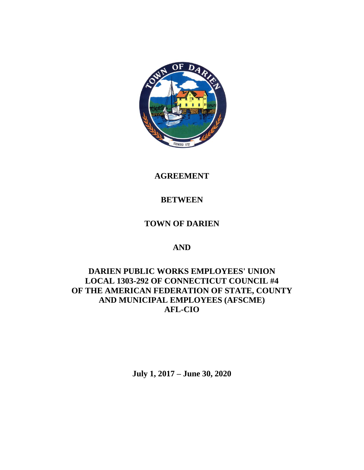

**AGREEMENT**

# **BETWEEN**

# **TOWN OF DARIEN**

# **AND**

# **DARIEN PUBLIC WORKS EMPLOYEES' UNION LOCAL 1303-292 OF CONNECTICUT COUNCIL #4 OF THE AMERICAN FEDERATION OF STATE, COUNTY AND MUNICIPAL EMPLOYEES (AFSCME) AFL-CIO**

**July 1, 2017 – June 30, 2020**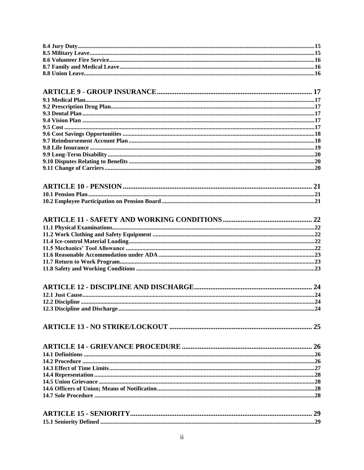#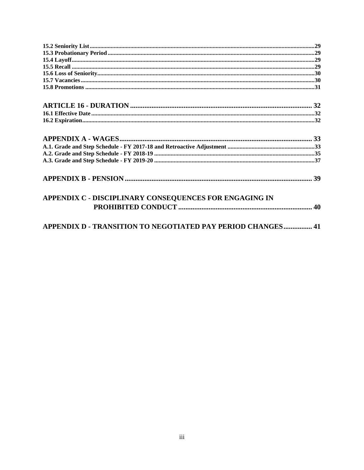<span id="page-4-0"></span>

| APPENDIX C - DISCIPLINARY CONSEQUENCES FOR ENGAGING IN      |  |
|-------------------------------------------------------------|--|
| APPENDIX D - TRANSITION TO NEGOTIATED PAY PERIOD CHANGES 41 |  |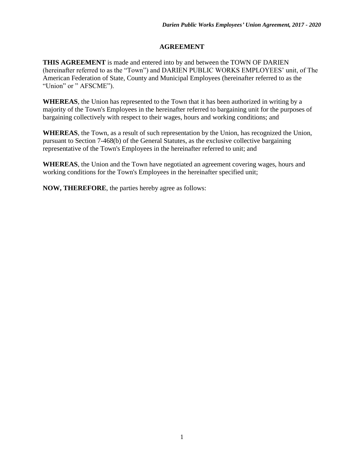# **AGREEMENT**

**THIS AGREEMENT** is made and entered into by and between the TOWN OF DARIEN (hereinafter referred to as the "Town") and DARIEN PUBLIC WORKS EMPLOYEES' unit, of The American Federation of State, County and Municipal Employees (hereinafter referred to as the "Union" or " AFSCME").

**WHEREAS**, the Union has represented to the Town that it has been authorized in writing by a majority of the Town's Employees in the hereinafter referred to bargaining unit for the purposes of bargaining collectively with respect to their wages, hours and working conditions; and

**WHEREAS**, the Town, as a result of such representation by the Union, has recognized the Union, pursuant to Section 7-468(b) of the General Statutes, as the exclusive collective bargaining representative of the Town's Employees in the hereinafter referred to unit; and

**WHEREAS**, the Union and the Town have negotiated an agreement covering wages, hours and working conditions for the Town's Employees in the hereinafter specified unit;

**NOW, THEREFORE**, the parties hereby agree as follows: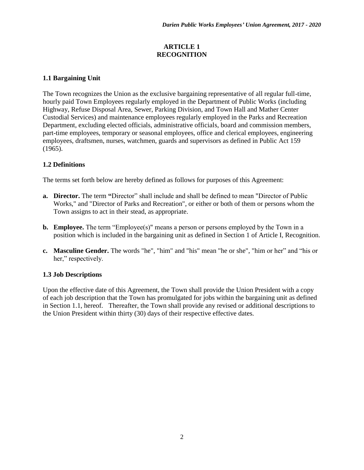# **ARTICLE 1 RECOGNITION**

# <span id="page-6-1"></span><span id="page-6-0"></span>**1.1 Bargaining Unit**

The Town recognizes the Union as the exclusive bargaining representative of all regular full-time, hourly paid Town Employees regularly employed in the Department of Public Works (including Highway, Refuse Disposal Area, Sewer, Parking Division, and Town Hall and Mather Center Custodial Services) and maintenance employees regularly employed in the Parks and Recreation Department, excluding elected officials, administrative officials, board and commission members, part-time employees, temporary or seasonal employees, office and clerical employees, engineering employees, draftsmen, nurses, watchmen, guards and supervisors as defined in Public Act 159 (1965).

# <span id="page-6-2"></span>**1.2 Definitions**

The terms set forth below are hereby defined as follows for purposes of this Agreement:

- **a. Director.** The term **"**Director" shall include and shall be defined to mean "Director of Public Works," and "Director of Parks and Recreation", or either or both of them or persons whom the Town assigns to act in their stead, as appropriate.
- **b. Employee.** The term "Employee(s)" means a person or persons employed by the Town in a position which is included in the bargaining unit as defined in Section 1 of Article I, Recognition.
- **c. Masculine Gender.** The words "he", "him" and "his" mean "he or she", "him or her" and "his or her," respectively.

### <span id="page-6-3"></span>**1.3 Job Descriptions**

Upon the effective date of this Agreement, the Town shall provide the Union President with a copy of each job description that the Town has promulgated for jobs within the bargaining unit as defined in Section 1.1, hereof. Thereafter, the Town shall provide any revised or additional descriptions to the Union President within thirty (30) days of their respective effective dates.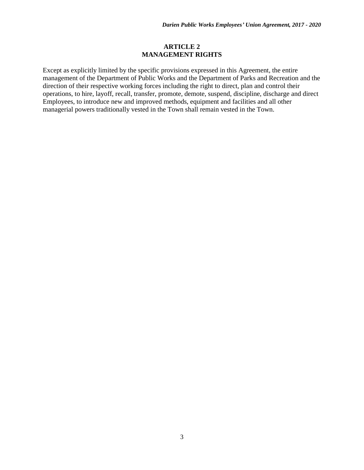### **ARTICLE 2 MANAGEMENT RIGHTS**

<span id="page-7-0"></span>Except as explicitly limited by the specific provisions expressed in this Agreement, the entire management of the Department of Public Works and the Department of Parks and Recreation and the direction of their respective working forces including the right to direct, plan and control their operations, to hire, layoff, recall, transfer, promote, demote, suspend, discipline, discharge and direct Employees, to introduce new and improved methods, equipment and facilities and all other managerial powers traditionally vested in the Town shall remain vested in the Town.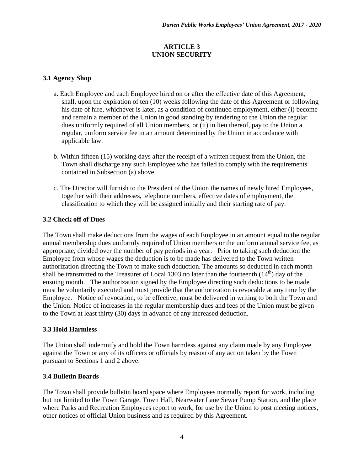# **ARTICLE 3 UNION SECURITY**

# <span id="page-8-1"></span><span id="page-8-0"></span>**3.1 Agency Shop**

- a. Each Employee and each Employee hired on or after the effective date of this Agreement, shall, upon the expiration of ten (10) weeks following the date of this Agreement or following his date of hire, whichever is later, as a condition of continued employment, either (i) become and remain a member of the Union in good standing by tendering to the Union the regular dues uniformly required of all Union members, or (ii) in lieu thereof, pay to the Union a regular, uniform service fee in an amount determined by the Union in accordance with applicable law.
- b. Within fifteen (15) working days after the receipt of a written request from the Union, the Town shall discharge any such Employee who has failed to comply with the requirements contained in Subsection (a) above.
- c. The Director will furnish to the President of the Union the names of newly hired Employees, together with their addresses, telephone numbers, effective dates of employment, the classification to which they will be assigned initially and their starting rate of pay.

### <span id="page-8-2"></span>**3.2 Check off of Dues**

The Town shall make deductions from the wages of each Employee in an amount equal to the regular annual membership dues uniformly required of Union members or the uniform annual service fee, as appropriate, divided over the number of pay periods in a year. Prior to taking such deduction the Employee from whose wages the deduction is to be made has delivered to the Town written authorization directing the Town to make such deduction. The amounts so deducted in each month shall be transmitted to the Treasurer of Local 1303 no later than the fourteenth  $(14<sup>th</sup>)$  day of the ensuing month. The authorization signed by the Employee directing such deductions to be made must be voluntarily executed and must provide that the authorization is revocable at any time by the Employee. Notice of revocation, to be effective, must be delivered in writing to both the Town and the Union. Notice of increases in the regular membership dues and fees of the Union must be given to the Town at least thirty (30) days in advance of any increased deduction.

### <span id="page-8-3"></span>**3.3 Hold Harmless**

The Union shall indemnify and hold the Town harmless against any claim made by any Employee against the Town or any of its officers or officials by reason of any action taken by the Town pursuant to Sections 1 and 2 above.

### <span id="page-8-4"></span>**3.4 Bulletin Boards**

The Town shall provide bulletin board space where Employees normally report for work, including but not limited to the Town Garage, Town Hall, Nearwater Lane Sewer Pump Station, and the place where Parks and Recreation Employees report to work, for use by the Union to post meeting notices, other notices of official Union business and as required by this Agreement.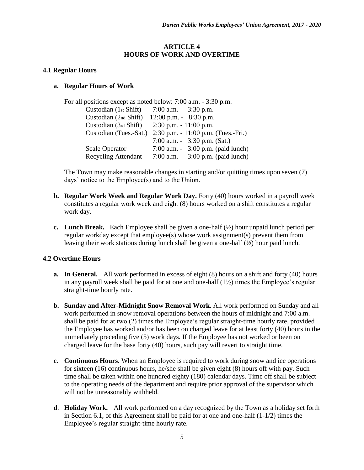### **ARTICLE 4 HOURS OF WORK AND OVERTIME**

#### <span id="page-9-1"></span><span id="page-9-0"></span>**4.1 Regular Hours**

#### **a. Regular Hours of Work**

| For all positions except as noted below: $7:00$ a.m. $-3:30$ p.m. |
|-------------------------------------------------------------------|
| 7:00 a.m. $-3:30$ p.m.                                            |
| $12:00$ p.m. $-8:30$ p.m.                                         |
| $2:30$ p.m. $-11:00$ p.m.                                         |
| $2:30$ p.m. $-11:00$ p.m. (Tues.-Fri.)                            |
| 7:00 a.m. $-3:30$ p.m. (Sat.)                                     |
| 7:00 a.m. $-3:00$ p.m. (paid lunch)                               |
| 7:00 a.m. $-3:00$ p.m. (paid lunch)                               |
|                                                                   |

The Town may make reasonable changes in starting and/or quitting times upon seven (7) days' notice to the Employee(s) and to the Union.

- **b. Regular Work Week and Regular Work Day.** Forty (40) hours worked in a payroll week constitutes a regular work week and eight (8) hours worked on a shift constitutes a regular work day.
- **c. Lunch Break.** Each Employee shall be given a one-half (½) hour unpaid lunch period per regular workday except that employee(s) whose work assignment(s) prevent them from leaving their work stations during lunch shall be given a one-half  $(\frac{1}{2})$  hour paid lunch.

### <span id="page-9-2"></span>**4.2 Overtime Hours**

- **a. In General.** All work performed in excess of eight (8) hours on a shift and forty (40) hours in any payroll week shall be paid for at one and one-half  $(1\frac{1}{2})$  times the Employee's regular straight-time hourly rate.
- **b. Sunday and After-Midnight Snow Removal Work.** All work performed on Sunday and all work performed in snow removal operations between the hours of midnight and 7:00 a.m. shall be paid for at two (2) times the Employee's regular straight-time hourly rate, provided the Employee has worked and/or has been on charged leave for at least forty (40) hours in the immediately preceding five (5) work days. If the Employee has not worked or been on charged leave for the base forty (40) hours, such pay will revert to straight time.
- **c. Continuous Hours.** When an Employee is required to work during snow and ice operations for sixteen (16) continuous hours, he/she shall be given eight (8) hours off with pay. Such time shall be taken within one hundred eighty (180) calendar days. Time off shall be subject to the operating needs of the department and require prior approval of the supervisor which will not be unreasonably withheld.
- **d**. **Holiday Work.** All work performed on a day recognized by the Town as a holiday set forth in Section 6.1, of this Agreement shall be paid for at one and one-half (1-1/2) times the Employee's regular straight-time hourly rate.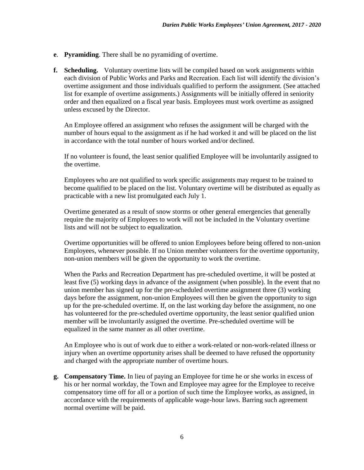- **e**. **Pyramiding**. There shall be no pyramiding of overtime.
- **f. Scheduling.** Voluntary overtime lists will be compiled based on work assignments within each division of Public Works and Parks and Recreation. Each list will identify the division's overtime assignment and those individuals qualified to perform the assignment. (See attached list for example of overtime assignments.) Assignments will be initially offered in seniority order and then equalized on a fiscal year basis. Employees must work overtime as assigned unless excused by the Director.

An Employee offered an assignment who refuses the assignment will be charged with the number of hours equal to the assignment as if he had worked it and will be placed on the list in accordance with the total number of hours worked and/or declined.

If no volunteer is found, the least senior qualified Employee will be involuntarily assigned to the overtime.

Employees who are not qualified to work specific assignments may request to be trained to become qualified to be placed on the list. Voluntary overtime will be distributed as equally as practicable with a new list promulgated each July 1.

Overtime generated as a result of snow storms or other general emergencies that generally require the majority of Employees to work will not be included in the Voluntary overtime lists and will not be subject to equalization.

Overtime opportunities will be offered to union Employees before being offered to non-union Employees, whenever possible. If no Union member volunteers for the overtime opportunity, non-union members will be given the opportunity to work the overtime.

When the Parks and Recreation Department has pre-scheduled overtime, it will be posted at least five (5) working days in advance of the assignment (when possible). In the event that no union member has signed up for the pre-scheduled overtime assignment three (3) working days before the assignment, non-union Employees will then be given the opportunity to sign up for the pre-scheduled overtime. If, on the last working day before the assignment, no one has volunteered for the pre-scheduled overtime opportunity, the least senior qualified union member will be involuntarily assigned the overtime. Pre-scheduled overtime will be equalized in the same manner as all other overtime.

An Employee who is out of work due to either a work-related or non-work-related illness or injury when an overtime opportunity arises shall be deemed to have refused the opportunity and charged with the appropriate number of overtime hours.

**g. Compensatory Time.** In lieu of paying an Employee for time he or she works in excess of his or her normal workday, the Town and Employee may agree for the Employee to receive compensatory time off for all or a portion of such time the Employee works, as assigned, in accordance with the requirements of applicable wage-hour laws. Barring such agreement normal overtime will be paid.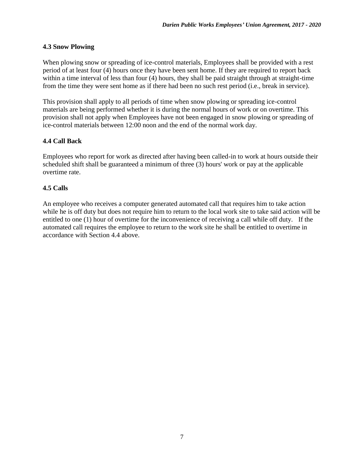# <span id="page-11-0"></span>**4.3 Snow Plowing**

When plowing snow or spreading of ice-control materials, Employees shall be provided with a rest period of at least four (4) hours once they have been sent home. If they are required to report back within a time interval of less than four (4) hours, they shall be paid straight through at straight-time from the time they were sent home as if there had been no such rest period (i.e., break in service).

This provision shall apply to all periods of time when snow plowing or spreading ice-control materials are being performed whether it is during the normal hours of work or on overtime. This provision shall not apply when Employees have not been engaged in snow plowing or spreading of ice-control materials between 12:00 noon and the end of the normal work day.

# <span id="page-11-1"></span>**4.4 Call Back**

Employees who report for work as directed after having been called-in to work at hours outside their scheduled shift shall be guaranteed a minimum of three (3) hours' work or pay at the applicable overtime rate.

# <span id="page-11-2"></span>**4.5 Calls**

An employee who receives a computer generated automated call that requires him to take action while he is off duty but does not require him to return to the local work site to take said action will be entitled to one (1) hour of overtime for the inconvenience of receiving a call while off duty. If the automated call requires the employee to return to the work site he shall be entitled to overtime in accordance with Section 4.4 above.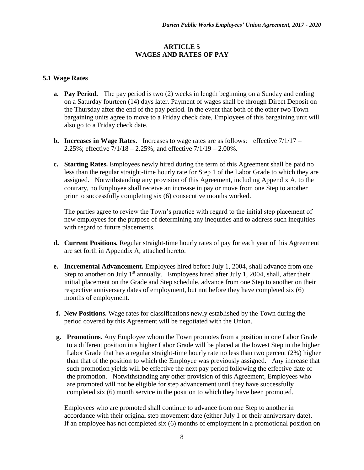# **ARTICLE 5 WAGES AND RATES OF PAY**

# <span id="page-12-1"></span><span id="page-12-0"></span>**5.1 Wage Rates**

- **a. Pay Period.** The pay period is two (2) weeks in length beginning on a Sunday and ending on a Saturday fourteen (14) days later. Payment of wages shall be through Direct Deposit on the Thursday after the end of the pay period. In the event that both of the other two Town bargaining units agree to move to a Friday check date, Employees of this bargaining unit will also go to a Friday check date.
- **b. Increases in Wage Rates.** Increases to wage rates are as follows:effective 7/1/17 2.25%; effective  $7/1/18 - 2.25%$ ; and effective  $7/1/19 - 2.00%$ .
- **c. Starting Rates.** Employees newly hired during the term of this Agreement shall be paid no less than the regular straight-time hourly rate for Step 1 of the Labor Grade to which they are assigned. Notwithstanding any provision of this Agreement, including Appendix A, to the contrary, no Employee shall receive an increase in pay or move from one Step to another prior to successfully completing six (6) consecutive months worked.

The parties agree to review the Town's practice with regard to the initial step placement of new employees for the purpose of determining any inequities and to address such inequities with regard to future placements.

- **d. Current Positions.** Regular straight-time hourly rates of pay for each year of this Agreement are set forth in Appendix A, attached hereto.
- **e. Incremental Advancement.** Employees hired before July 1, 2004, shall advance from one Step to another on July  $1<sup>st</sup>$  annually. Employees hired after July 1, 2004, shall, after their initial placement on the Grade and Step schedule, advance from one Step to another on their respective anniversary dates of employment, but not before they have completed six (6) months of employment.
- **f. New Positions.** Wage rates for classifications newly established by the Town during the period covered by this Agreement will be negotiated with the Union.
- **g. Promotions.** Any Employee whom the Town promotes from a position in one Labor Grade to a different position in a higher Labor Grade will be placed at the lowest Step in the higher Labor Grade that has a regular straight-time hourly rate no less than two percent (2%) higher than that of the position to which the Employee was previously assigned. Any increase that such promotion yields will be effective the next pay period following the effective date of the promotion. Notwithstanding any other provision of this Agreement, Employees who are promoted will not be eligible for step advancement until they have successfully completed six (6) month service in the position to which they have been promoted.

Employees who are promoted shall continue to advance from one Step to another in accordance with their original step movement date (either July 1 or their anniversary date). If an employee has not completed six (6) months of employment in a promotional position on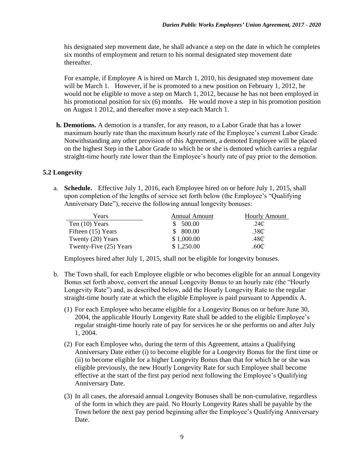his designated step movement date, he shall advance a step on the date in which he completes six months of employment and return to his normal designated step movement date thereafter.

For example, if Employee A is hired on March 1, 2010, his designated step movement date will be March 1. However, if he is promoted to a new position on February 1, 2012, he would not be eligible to move a step on March 1, 2012, because he has not been employed in his promotional position for six (6) months. He would move a step in his promotion position on August 1 2012, and thereafter move a step each March 1.

**h. Demotions.** A demotion is a transfer, for any reason, to a Labor Grade that has a lower maximum hourly rate than the maximum hourly rate of the Employee's current Labor Grade. Notwithstanding any other provision of this Agreement, a demoted Employee will be placed on the highest Step in the Labor Grade to which he or she is demoted which carries a regular straight-time hourly rate lower than the Employee's hourly rate of pay prior to the demotion.

# <span id="page-13-0"></span>**5.2 Longevity**

a. **Schedule.** Effective July 1, 2016, each Employee hired on or before July 1, 2015, shall upon completion of the lengths of service set forth below (the Employee's "Qualifying Anniversary Date"), receive the following annual longevity bonuses:

| Years                  | Annual Amount | <b>Hourly Amount</b> |
|------------------------|---------------|----------------------|
| Ten $(10)$ Years       | 500.00        | .24 $\mathbb C$      |
| Fifteen (15) Years     | 800.00        | .38 <sub>C</sub>     |
| Twenty (20) Years      | \$1,000.00    | .48C                 |
| Twenty-Five (25) Years | \$1,250.00    | .60 $\mathbb C$      |

Employees hired after July 1, 2015, shall not be eligible for longevity bonuses.

- b. The Town shall, for each Employee eligible or who becomes eligible for an annual Longevity Bonus set forth above, convert the annual Longevity Bonus to an hourly rate (the "Hourly Longevity Rate") and, as described below, add the Hourly Longevity Rate to the regular straight-time hourly rate at which the eligible Employee is paid pursuant to Appendix A.
	- (1) For each Employee who became eligible for a Longevity Bonus on or before June 30, 2004, the applicable Hourly Longevity Rate shall be added to the eligible Employee's regular straight-time hourly rate of pay for services he or she performs on and after July 1, 2004.
	- (2) For each Employee who, during the term of this Agreement, attains a Qualifying Anniversary Date either (i) to become eligible for a Longevity Bonus for the first time or (ii) to become eligible for a higher Longevity Bonus than that for which he or she was eligible previously, the new Hourly Longevity Rate for such Employee shall become effective at the start of the first pay period next following the Employee's Qualifying Anniversary Date.
	- (3) In all cases, the aforesaid annual Longevity Bonuses shall be non-cumulative, regardless of the form in which they are paid. No Hourly Longevity Rates shall be payable by the Town before the next pay period beginning after the Employee's Qualifying Anniversary Date.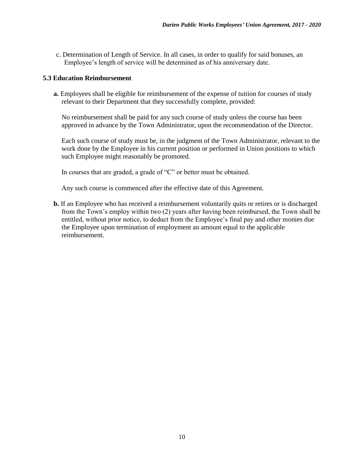c. Determination of Length of Service. In all cases, in order to qualify for said bonuses, an Employee's length of service will be determined as of his anniversary date.

#### <span id="page-14-0"></span>**5.3 Education Reimbursement**

**a.** Employees shall be eligible for reimbursement of the expense of tuition for courses of study relevant to their Department that they successfully complete, provided:

No reimbursement shall be paid for any such course of study unless the course has been approved in advance by the Town Administrator, upon the recommendation of the Director.

Each such course of study must be, in the judgment of the Town Administrator, relevant to the work done by the Employee in his current position or performed in Union positions to which such Employee might reasonably be promoted.

In courses that are graded, a grade of "C" or better must be obtained.

Any such course is commenced after the effective date of this Agreement.

**b.** If an Employee who has received a reimbursement voluntarily quits or retires or is discharged from the Town's employ within two (2) years after having been reimbursed, the Town shall be entitled, without prior notice, to deduct from the Employee's final pay and other monies due the Employee upon termination of employment an amount equal to the applicable reimbursement.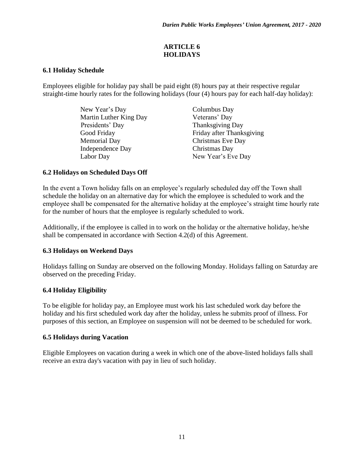# **ARTICLE 6 HOLIDAYS**

# <span id="page-15-1"></span><span id="page-15-0"></span>**6.1 Holiday Schedule**

Employees eligible for holiday pay shall be paid eight (8) hours pay at their respective regular straight-time hourly rates for the following holidays (four (4) hours pay for each half-day holiday):

> New Year's Day Columbus Day Martin Luther King Day Veterans' Day **Presidents' Day Thanksgiving Day** Memorial Day Christmas Eve Day Independence Day Christmas Day

Good Friday Friday Friday after Thanksgiving Labor Day New Year's Eve Day

# <span id="page-15-2"></span>**6.2 Holidays on Scheduled Days Off**

In the event a Town holiday falls on an employee's regularly scheduled day off the Town shall schedule the holiday on an alternative day for which the employee is scheduled to work and the employee shall be compensated for the alternative holiday at the employee's straight time hourly rate for the number of hours that the employee is regularly scheduled to work.

Additionally, if the employee is called in to work on the holiday or the alternative holiday, he/she shall be compensated in accordance with Section 4.2(d) of this Agreement.

# <span id="page-15-3"></span>**6.3 Holidays on Weekend Days**

Holidays falling on Sunday are observed on the following Monday. Holidays falling on Saturday are observed on the preceding Friday.

### <span id="page-15-4"></span>**6.4 Holiday Eligibility**

To be eligible for holiday pay, an Employee must work his last scheduled work day before the holiday and his first scheduled work day after the holiday, unless he submits proof of illness. For purposes of this section, an Employee on suspension will not be deemed to be scheduled for work.

### <span id="page-15-5"></span>**6.5 Holidays during Vacation**

Eligible Employees on vacation during a week in which one of the above-listed holidays falls shall receive an extra day's vacation with pay in lieu of such holiday.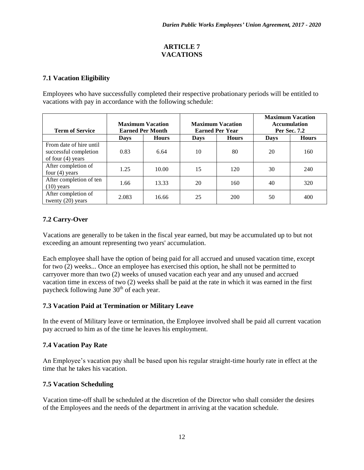# **ARTICLE 7 VACATIONS**

# <span id="page-16-1"></span><span id="page-16-0"></span>**7.1 Vacation Eligibility**

Employees who have successfully completed their respective probationary periods will be entitled to vacations with pay in accordance with the following schedule:

| <b>Term of Service</b>                                                  | <b>Maximum Vacation</b><br><b>Earned Per Month</b> |              | <b>Maximum Vacation</b><br><b>Earned Per Year</b> |              |             | <b>Maximum Vacation</b><br><b>Accumulation</b><br>Per Sec. 7.2 |
|-------------------------------------------------------------------------|----------------------------------------------------|--------------|---------------------------------------------------|--------------|-------------|----------------------------------------------------------------|
|                                                                         | <b>Days</b>                                        | <b>Hours</b> | <b>Days</b>                                       | <b>Hours</b> | <b>Days</b> | <b>Hours</b>                                                   |
| From date of hire until<br>successful completion<br>of four $(4)$ years | 0.83                                               | 6.64         | 10                                                | 80           | 20          | 160                                                            |
| After completion of<br>four $(4)$ years                                 | 1.25                                               | 10.00        | 15                                                | 120          | 30          | 240                                                            |
| After completion of ten<br>$(10)$ years                                 | 1.66                                               | 13.33        | 20                                                | 160          | 40          | 320                                                            |
| After completion of<br>twenty $(20)$ years                              | 2.083                                              | 16.66        | 25                                                | 200          | 50          | 400                                                            |

# <span id="page-16-2"></span>**7.2 Carry-Over**

Vacations are generally to be taken in the fiscal year earned, but may be accumulated up to but not exceeding an amount representing two years' accumulation.

Each employee shall have the option of being paid for all accrued and unused vacation time, except for two (2) weeks... Once an employee has exercised this option, he shall not be permitted to carryover more than two (2) weeks of unused vacation each year and any unused and accrued vacation time in excess of two (2) weeks shall be paid at the rate in which it was earned in the first paycheck following June  $30<sup>th</sup>$  of each year.

# <span id="page-16-3"></span>**7.3 Vacation Paid at Termination or Military Leave**

In the event of Military leave or termination, the Employee involved shall be paid all current vacation pay accrued to him as of the time he leaves his employment.

# <span id="page-16-4"></span>**7.4 Vacation Pay Rate**

An Employee's vacation pay shall be based upon his regular straight-time hourly rate in effect at the time that he takes his vacation.

# <span id="page-16-5"></span>**7.5 Vacation Scheduling**

Vacation time-off shall be scheduled at the discretion of the Director who shall consider the desires of the Employees and the needs of the department in arriving at the vacation schedule.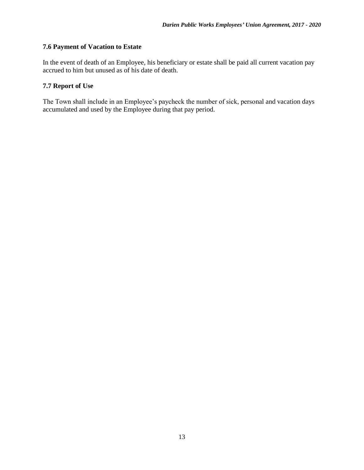# <span id="page-17-0"></span>**7.6 Payment of Vacation to Estate**

In the event of death of an Employee, his beneficiary or estate shall be paid all current vacation pay accrued to him but unused as of his date of death.

# <span id="page-17-1"></span>**7.7 Report of Use**

The Town shall include in an Employee's paycheck the number of sick, personal and vacation days accumulated and used by the Employee during that pay period.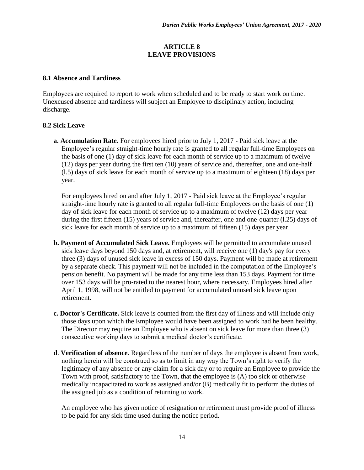## **ARTICLE 8 LEAVE PROVISIONS**

#### <span id="page-18-1"></span><span id="page-18-0"></span>**8.1 Absence and Tardiness**

Employees are required to report to work when scheduled and to be ready to start work on time. Unexcused absence and tardiness will subject an Employee to disciplinary action, including discharge.

### <span id="page-18-2"></span>**8.2 Sick Leave**

**a. Accumulation Rate.** For employees hired prior to July 1, 2017 - Paid sick leave at the Employee's regular straight-time hourly rate is granted to all regular full-time Employees on the basis of one (1) day of sick leave for each month of service up to a maximum of twelve (12) days per year during the first ten (10) years of service and, thereafter, one and one-half (l.5) days of sick leave for each month of service up to a maximum of eighteen (18) days per year.

For employees hired on and after July 1, 2017 - Paid sick leave at the Employee's regular straight-time hourly rate is granted to all regular full-time Employees on the basis of one (1) day of sick leave for each month of service up to a maximum of twelve (12) days per year during the first fifteen (15) years of service and, thereafter, one and one-quarter (l.25) days of sick leave for each month of service up to a maximum of fifteen (15) days per year.

- **b. Payment of Accumulated Sick Leave.** Employees will be permitted to accumulate unused sick leave days beyond 150 days and, at retirement, will receive one (1) day's pay for every three (3) days of unused sick leave in excess of 150 days. Payment will be made at retirement by a separate check. This payment will not be included in the computation of the Employee's pension benefit. No payment will be made for any time less than 153 days. Payment for time over 153 days will be pro-rated to the nearest hour, where necessary. Employees hired after April 1, 1998, will not be entitled to payment for accumulated unused sick leave upon retirement.
- **c. Doctor's Certificate.** Sick leave is counted from the first day of illness and will include only those days upon which the Employee would have been assigned to work had he been healthy. The Director may require an Employee who is absent on sick leave for more than three (3) consecutive working days to submit a medical doctor's certificate.
- **d**. **Verification of absence**. Regardless of the number of days the employee is absent from work, nothing herein will be construed so as to limit in any way the Town's right to verify the legitimacy of any absence or any claim for a sick day or to require an Employee to provide the Town with proof, satisfactory to the Town, that the employee is (A) too sick or otherwise medically incapacitated to work as assigned and/or (B) medically fit to perform the duties of the assigned job as a condition of returning to work.

An employee who has given notice of resignation or retirement must provide proof of illness to be paid for any sick time used during the notice period.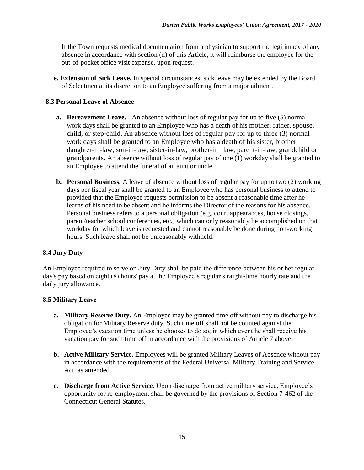If the Town requests medical documentation from a physician to support the legitimacy of any absence in accordance with section (d) of this Article, it will reimburse the employee for the out-of-pocket office visit expense, upon request.

**e. Extension of Sick Leave.** In special circumstances, sick leave may be extended by the Board of Selectmen at its discretion to an Employee suffering from a major ailment.

# <span id="page-19-0"></span>**8.3 Personal Leave of Absence**

- **a. Bereavement Leave.** An absence without loss of regular pay for up to five (5) normal work days shall be granted to an Employee who has a death of his mother, father, spouse, child, or step-child. An absence without loss of regular pay for up to three (3) normal work days shall be granted to an Employee who has a death of his sister, brother, daughter-in-law, son-in-law, sister-in-law, brother-in –law, parent-in-law, grandchild or grandparents. An absence without loss of regular pay of one (1) workday shall be granted to an Employee to attend the funeral of an aunt or uncle.
- **b. Personal Business.** A leave of absence without loss of regular pay for up to two (2) working days per fiscal year shall be granted to an Employee who has personal business to attend to provided that the Employee requests permission to be absent a reasonable time after he learns of his need to be absent and he informs the Director of the reasons for his absence. Personal business refers to a personal obligation (e.g. court appearances, house closings, parent/teacher school conferences, etc.) which can only reasonably be accomplished on that workday for which leave is requested and cannot reasonably be done during non-working hours. Such leave shall not be unreasonably withheld.

# <span id="page-19-1"></span>**8.4 Jury Duty**

An Employee required to serve on Jury Duty shall be paid the difference between his or her regular day's pay based on eight (8) hours' pay at the Employee's regular straight-time hourly rate and the daily jury allowance.

### <span id="page-19-2"></span>**8.5 Military Leave**

- **a. Military Reserve Duty.** An Employee may be granted time off without pay to discharge his obligation for Military Reserve duty. Such time off shall not be counted against the Employee's vacation time unless he chooses to do so, in which event he shall receive his vacation pay for such time off in accordance with the provisions of Article 7 above.
- **b. Active Military Service.** Employees will be granted Military Leaves of Absence without pay in accordance with the requirements of the Federal Universal Military Training and Service Act, as amended.
- **c. Discharge from Active Service.** Upon discharge from active military service, Employee's opportunity for re-employment shall be governed by the provisions of Section 7-462 of the Connecticut General Statutes.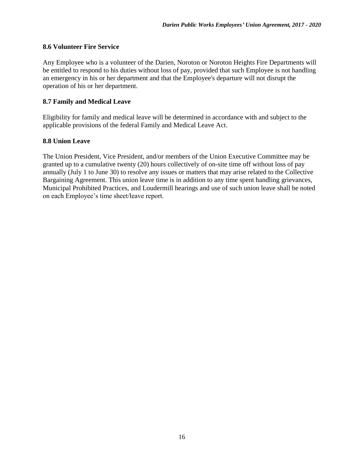### <span id="page-20-0"></span>**8.6 Volunteer Fire Service**

Any Employee who is a volunteer of the Darien, Noroton or Noroton Heights Fire Departments will be entitled to respond to his duties without loss of pay, provided that such Employee is not handling an emergency in his or her department and that the Employee's departure will not disrupt the operation of his or her department.

#### <span id="page-20-1"></span>**8.7 Family and Medical Leave**

Eligibility for family and medical leave will be determined in accordance with and subject to the applicable provisions of the federal Family and Medical Leave Act.

#### <span id="page-20-2"></span>**8.8 Union Leave**

The Union President, Vice President, and/or members of the Union Executive Committee may be granted up to a cumulative twenty (20) hours collectively of on-site time off without loss of pay annually (July 1 to June 30) to resolve any issues or matters that may arise related to the Collective Bargaining Agreement. This union leave time is in addition to any time spent handling grievances, Municipal Prohibited Practices, and Loudermill hearings and use of such union leave shall be noted on each Employee's time sheet/leave report.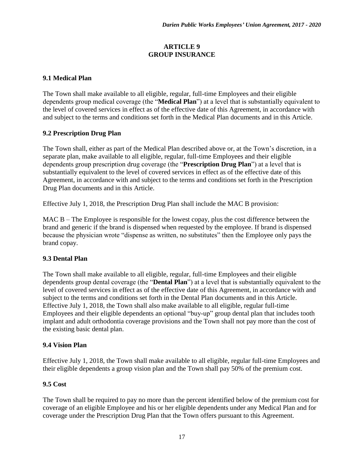# **ARTICLE 9 GROUP INSURANCE**

# <span id="page-21-1"></span><span id="page-21-0"></span>**9.1 Medical Plan**

The Town shall make available to all eligible, regular, full-time Employees and their eligible dependents group medical coverage (the "**Medical Plan**") at a level that is substantially equivalent to the level of covered services in effect as of the effective date of this Agreement, in accordance with and subject to the terms and conditions set forth in the Medical Plan documents and in this Article.

### <span id="page-21-2"></span>**9.2 Prescription Drug Plan**

The Town shall, either as part of the Medical Plan described above or, at the Town's discretion, in a separate plan, make available to all eligible, regular, full-time Employees and their eligible dependents group prescription drug coverage (the "**Prescription Drug Plan**") at a level that is substantially equivalent to the level of covered services in effect as of the effective date of this Agreement, in accordance with and subject to the terms and conditions set forth in the Prescription Drug Plan documents and in this Article.

Effective July 1, 2018, the Prescription Drug Plan shall include the MAC B provision:

MAC B – The Employee is responsible for the lowest copay, plus the cost difference between the brand and generic if the brand is dispensed when requested by the employee. If brand is dispensed because the physician wrote "dispense as written, no substitutes" then the Employee only pays the brand copay.

### <span id="page-21-3"></span>**9.3 Dental Plan**

The Town shall make available to all eligible, regular, full-time Employees and their eligible dependents group dental coverage (the "**Dental Plan**") at a level that is substantially equivalent to the level of covered services in effect as of the effective date of this Agreement, in accordance with and subject to the terms and conditions set forth in the Dental Plan documents and in this Article. Effective July 1, 2018, the Town shall also make available to all eligible, regular full-time Employees and their eligible dependents an optional "buy-up" group dental plan that includes tooth implant and adult orthodontia coverage provisions and the Town shall not pay more than the cost of the existing basic dental plan.

### <span id="page-21-4"></span>**9.4 Vision Plan**

Effective July 1, 2018, the Town shall make available to all eligible, regular full-time Employees and their eligible dependents a group vision plan and the Town shall pay 50% of the premium cost.

### <span id="page-21-5"></span>**9.5 Cost**

The Town shall be required to pay no more than the percent identified below of the premium cost for coverage of an eligible Employee and his or her eligible dependents under any Medical Plan and for coverage under the Prescription Drug Plan that the Town offers pursuant to this Agreement.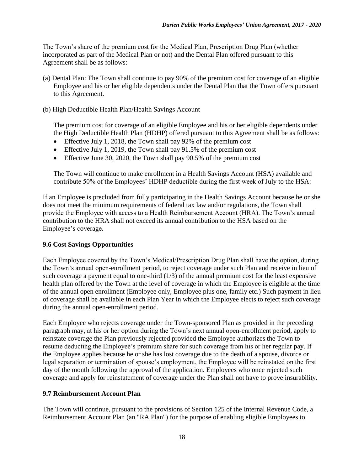The Town's share of the premium cost for the Medical Plan, Prescription Drug Plan (whether incorporated as part of the Medical Plan or not) and the Dental Plan offered pursuant to this Agreement shall be as follows:

- (a) Dental Plan: The Town shall continue to pay 90% of the premium cost for coverage of an eligible Employee and his or her eligible dependents under the Dental Plan that the Town offers pursuant to this Agreement.
- (b) High Deductible Health Plan/Health Savings Account

The premium cost for coverage of an eligible Employee and his or her eligible dependents under the High Deductible Health Plan (HDHP) offered pursuant to this Agreement shall be as follows:

- Effective July 1, 2018, the Town shall pay 92% of the premium cost
- Effective July 1, 2019, the Town shall pay  $91.5\%$  of the premium cost
- $\bullet$  Effective June 30, 2020, the Town shall pay 90.5% of the premium cost

The Town will continue to make enrollment in a Health Savings Account (HSA) available and contribute 50% of the Employees' HDHP deductible during the first week of July to the HSA:

If an Employee is precluded from fully participating in the Health Savings Account because he or she does not meet the minimum requirements of federal tax law and/or regulations, the Town shall provide the Employee with access to a Health Reimbursement Account (HRA). The Town's annual contribution to the HRA shall not exceed its annual contribution to the HSA based on the Employee's coverage.

### <span id="page-22-0"></span>**9.6 Cost Savings Opportunities**

Each Employee covered by the Town's Medical/Prescription Drug Plan shall have the option, during the Town's annual open-enrollment period, to reject coverage under such Plan and receive in lieu of such coverage a payment equal to one-third  $(1/3)$  of the annual premium cost for the least expensive health plan offered by the Town at the level of coverage in which the Employee is eligible at the time of the annual open enrollment (Employee only, Employee plus one, family etc.) Such payment in lieu of coverage shall be available in each Plan Year in which the Employee elects to reject such coverage during the annual open-enrollment period.

Each Employee who rejects coverage under the Town-sponsored Plan as provided in the preceding paragraph may, at his or her option during the Town's next annual open-enrollment period, apply to reinstate coverage the Plan previously rejected provided the Employee authorizes the Town to resume deducting the Employee's premium share for such coverage from his or her regular pay. If the Employee applies because he or she has lost coverage due to the death of a spouse, divorce or legal separation or termination of spouse's employment, the Employee will be reinstated on the first day of the month following the approval of the application. Employees who once rejected such coverage and apply for reinstatement of coverage under the Plan shall not have to prove insurability.

### <span id="page-22-1"></span>**9.7 Reimbursement Account Plan**

The Town will continue, pursuant to the provisions of Section 125 of the Internal Revenue Code, a Reimbursement Account Plan (an "RA Plan") for the purpose of enabling eligible Employees to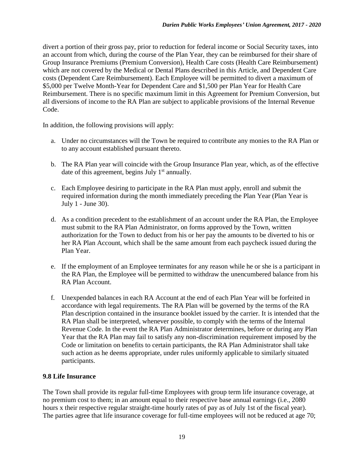divert a portion of their gross pay, prior to reduction for federal income or Social Security taxes, into an account from which, during the course of the Plan Year, they can be reimbursed for their share of Group Insurance Premiums (Premium Conversion), Health Care costs (Health Care Reimbursement) which are not covered by the Medical or Dental Plans described in this Article, and Dependent Care costs (Dependent Care Reimbursement). Each Employee will be permitted to divert a maximum of \$5,000 per Twelve Month-Year for Dependent Care and \$1,500 per Plan Year for Health Care Reimbursement. There is no specific maximum limit in this Agreement for Premium Conversion, but all diversions of income to the RA Plan are subject to applicable provisions of the Internal Revenue Code.

In addition, the following provisions will apply:

- a. Under no circumstances will the Town be required to contribute any monies to the RA Plan or to any account established pursuant thereto.
- b. The RA Plan year will coincide with the Group Insurance Plan year, which, as of the effective date of this agreement, begins July  $1<sup>st</sup>$  annually.
- c. Each Employee desiring to participate in the RA Plan must apply, enroll and submit the required information during the month immediately preceding the Plan Year (Plan Year is July 1 - June 30).
- d. As a condition precedent to the establishment of an account under the RA Plan, the Employee must submit to the RA Plan Administrator, on forms approved by the Town, written authorization for the Town to deduct from his or her pay the amounts to be diverted to his or her RA Plan Account, which shall be the same amount from each paycheck issued during the Plan Year.
- e. If the employment of an Employee terminates for any reason while he or she is a participant in the RA Plan, the Employee will be permitted to withdraw the unencumbered balance from his RA Plan Account.
- f. Unexpended balances in each RA Account at the end of each Plan Year will be forfeited in accordance with legal requirements. The RA Plan will be governed by the terms of the RA Plan description contained in the insurance booklet issued by the carrier. It is intended that the RA Plan shall be interpreted, whenever possible, to comply with the terms of the Internal Revenue Code. In the event the RA Plan Administrator determines, before or during any Plan Year that the RA Plan may fail to satisfy any non-discrimination requirement imposed by the Code or limitation on benefits to certain participants, the RA Plan Administrator shall take such action as he deems appropriate, under rules uniformly applicable to similarly situated participants.

### <span id="page-23-0"></span>**9.8 Life Insurance**

The Town shall provide its regular full-time Employees with group term life insurance coverage, at no premium cost to them; in an amount equal to their respective base annual earnings (i.e., 2080 hours x their respective regular straight-time hourly rates of pay as of July 1st of the fiscal year). The parties agree that life insurance coverage for full-time employees will not be reduced at age 70;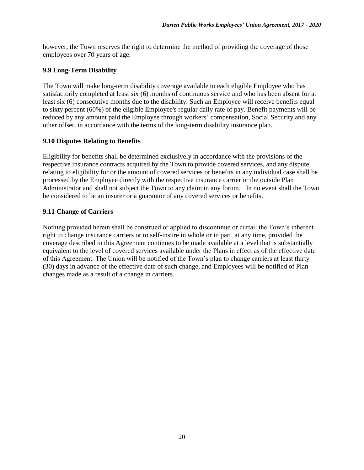however, the Town reserves the right to determine the method of providing the coverage of those employees over 70 years of age.

# <span id="page-24-0"></span>**9.9 Long-Term Disability**

The Town will make long-term disability coverage available to each eligible Employee who has satisfactorily completed at least six (6) months of continuous service and who has been absent for at least six (6) consecutive months due to the disability. Such an Employee will receive benefits equal to sixty percent (60%) of the eligible Employee's regular daily rate of pay. Benefit payments will be reduced by any amount paid the Employee through workers' compensation, Social Security and any other offset, in accordance with the terms of the long-term disability insurance plan.

# <span id="page-24-1"></span>**9.10 Disputes Relating to Benefits**

Eligibility for benefits shall be determined exclusively in accordance with the provisions of the respective insurance contracts acquired by the Town to provide covered services, and any dispute relating to eligibility for or the amount of covered services or benefits in any individual case shall be processed by the Employee directly with the respective insurance carrier or the outside Plan Administrator and shall not subject the Town to any claim in any forum. In no event shall the Town be considered to be an insurer or a guarantor of any covered services or benefits.

# <span id="page-24-2"></span>**9.11 Change of Carriers**

Nothing provided herein shall be construed or applied to discontinue or curtail the Town's inherent right to change insurance carriers or to self-insure in whole or in part, at any time, provided the coverage described in this Agreement continues to be made available at a level that is substantially equivalent to the level of covered services available under the Plans in effect as of the effective date of this Agreement. The Union will be notified of the Town's plan to change carriers at least thirty (30) days in advance of the effective date of such change, and Employees will be notified of Plan changes made as a result of a change in carriers.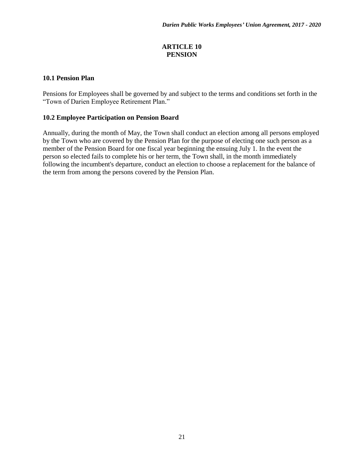# **ARTICLE 10 PENSION**

### <span id="page-25-1"></span><span id="page-25-0"></span>**10.1 Pension Plan**

Pensions for Employees shall be governed by and subject to the terms and conditions set forth in the "Town of Darien Employee Retirement Plan."

### <span id="page-25-2"></span>**10.2 Employee Participation on Pension Board**

Annually, during the month of May, the Town shall conduct an election among all persons employed by the Town who are covered by the Pension Plan for the purpose of electing one such person as a member of the Pension Board for one fiscal year beginning the ensuing July 1. In the event the person so elected fails to complete his or her term, the Town shall, in the month immediately following the incumbent's departure, conduct an election to choose a replacement for the balance of the term from among the persons covered by the Pension Plan.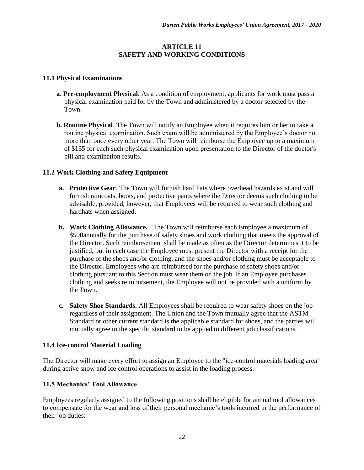# **ARTICLE 11 SAFETY AND WORKING CONDITIONS**

# <span id="page-26-1"></span><span id="page-26-0"></span>**11.1 Physical Examinations**

- **a. Pre-employment Physical**. As a condition of employment, applicants for work must pass a physical examination paid for by the Town and administered by a doctor selected by the Town.
- **b. Routine Physical**. The Town will notify an Employee when it requires him or her to take a routine physical examination. Such exam will be administered by the Employee's doctor not more than once every other year. The Town will reimburse the Employee up to a maximum of \$135 for each such physical examination upon presentation to the Director of the doctor's bill and examination results.

# <span id="page-26-2"></span>**11.2 Work Clothing and Safety Equipment**

- **a. Protective Gear**. The Town will furnish hard hats where overhead hazards exist and will furnish raincoats, boots, and protective pants where the Director deems such clothing to be advisable, provided, however, that Employees will be required to wear such clothing and hardhats when assigned.
- **b. Work Clothing Allowance.** The Town will reimburse each Employee a maximum of \$500annually for the purchase of safety shoes and work clothing that meets the approval of the Director. Such reimbursement shall be made as often as the Director determines it to be justified, but in each case the Employee must present the Director with a receipt for the purchase of the shoes and/or clothing, and the shoes and/or clothing must be acceptable to the Director. Employees who are reimbursed for the purchase of safety shoes and/or clothing pursuant to this Section must wear them on the job. If an Employee purchases clothing and seeks reimbursement, the Employee will not be provided with a uniform by the Town.
- **c. Safety Shoe Standards.** All Employees shall be required to wear safety shoes on the job regardless of their assignment. The Union and the Town mutually agree that the ASTM Standard or other current standard is the applicable standard for shoes, and the parties will mutually agree to the specific standard to be applied to different job classifications.

### <span id="page-26-3"></span>**11.4 Ice-control Material Loading**

The Director will make every effort to assign an Employee to the "ice-control materials loading area" during active snow and ice control operations to assist in the loading process.

# <span id="page-26-4"></span>**11.5 Mechanics' Tool Allowance**

Employees regularly assigned to the following positions shall be eligible for annual tool allowances to compensate for the wear and loss of their personal mechanic's tools incurred in the performance of their job duties: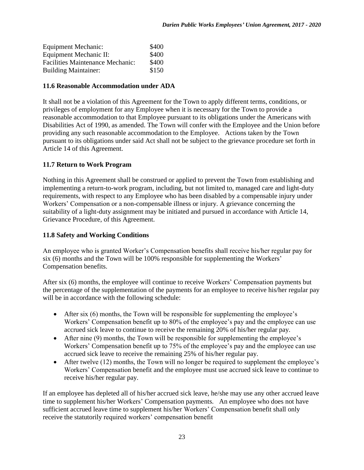| <b>Equipment Mechanic:</b>              | \$400 |
|-----------------------------------------|-------|
| Equipment Mechanic II:                  | \$400 |
| <b>Facilities Maintenance Mechanic:</b> | \$400 |
| <b>Building Maintainer:</b>             | \$150 |

#### <span id="page-27-0"></span>**11.6 Reasonable Accommodation under ADA**

It shall not be a violation of this Agreement for the Town to apply different terms, conditions, or privileges of employment for any Employee when it is necessary for the Town to provide a reasonable accommodation to that Employee pursuant to its obligations under the Americans with Disabilities Act of 1990, as amended. The Town will confer with the Employee and the Union before providing any such reasonable accommodation to the Employee. Actions taken by the Town pursuant to its obligations under said Act shall not be subject to the grievance procedure set forth in Article 14 of this Agreement.

# <span id="page-27-1"></span>**11.7 Return to Work Program**

Nothing in this Agreement shall be construed or applied to prevent the Town from establishing and implementing a return-to-work program, including, but not limited to, managed care and light-duty requirements, with respect to any Employee who has been disabled by a compensable injury under Workers' Compensation or a non-compensable illness or injury. A grievance concerning the suitability of a light-duty assignment may be initiated and pursued in accordance with Article 14, Grievance Procedure, of this Agreement.

### <span id="page-27-2"></span>**11.8 Safety and Working Conditions**

An employee who is granted Worker's Compensation benefits shall receive his/her regular pay for six (6) months and the Town will be 100% responsible for supplementing the Workers' Compensation benefits.

After six (6) months, the employee will continue to receive Workers' Compensation payments but the percentage of the supplementation of the payments for an employee to receive his/her regular pay will be in accordance with the following schedule:

- After six (6) months, the Town will be responsible for supplementing the employee's Workers' Compensation benefit up to 80% of the employee's pay and the employee can use accrued sick leave to continue to receive the remaining 20% of his/her regular pay.
- After nine (9) months, the Town will be responsible for supplementing the employee's Workers' Compensation benefit up to 75% of the employee's pay and the employee can use accrued sick leave to receive the remaining 25% of his/her regular pay.
- After twelve (12) months, the Town will no longer be required to supplement the employee's Workers' Compensation benefit and the employee must use accrued sick leave to continue to receive his/her regular pay.

If an employee has depleted all of his/her accrued sick leave, he/she may use any other accrued leave time to supplement his/her Workers' Compensation payments. An employee who does not have sufficient accrued leave time to supplement his/her Workers' Compensation benefit shall only receive the statutorily required workers' compensation benefit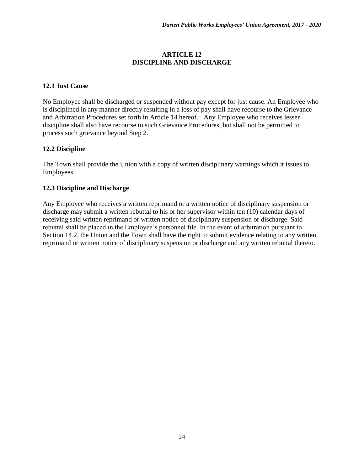#### **ARTICLE 12 DISCIPLINE AND DISCHARGE**

#### <span id="page-28-1"></span><span id="page-28-0"></span>**12.1 Just Cause**

No Employee shall be discharged or suspended without pay except for just cause. An Employee who is disciplined in any manner directly resulting in a loss of pay shall have recourse to the Grievance and Arbitration Procedures set forth in Article 14 hereof. Any Employee who receives lesser discipline shall also have recourse to such Grievance Procedures, but shall not be permitted to process such grievance beyond Step 2.

### <span id="page-28-2"></span>**12.2 Discipline**

The Town shall provide the Union with a copy of written disciplinary warnings which it issues to Employees.

#### <span id="page-28-3"></span>**12.3 Discipline and Discharge**

Any Employee who receives a written reprimand or a written notice of disciplinary suspension or discharge may submit a written rebuttal to his or her supervisor within ten (10) calendar days of receiving said written reprimand or written notice of disciplinary suspension or discharge. Said rebuttal shall be placed in the Employee's personnel file. In the event of arbitration pursuant to Section 14.2, the Union and the Town shall have the right to submit evidence relating to any written reprimand or written notice of disciplinary suspension or discharge and any written rebuttal thereto.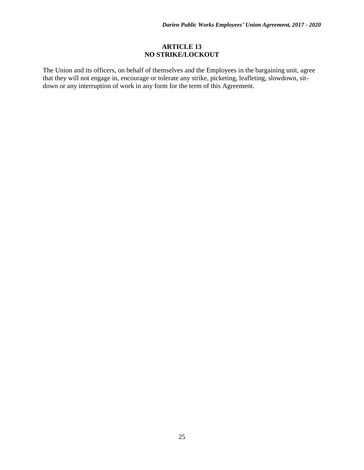# **ARTICLE 13 NO STRIKE/LOCKOUT**

<span id="page-29-0"></span>The Union and its officers, on behalf of themselves and the Employees in the bargaining unit, agree that they will not engage in, encourage or tolerate any strike, picketing, leafleting, slowdown, sitdown or any interruption of work in any form for the term of this Agreement.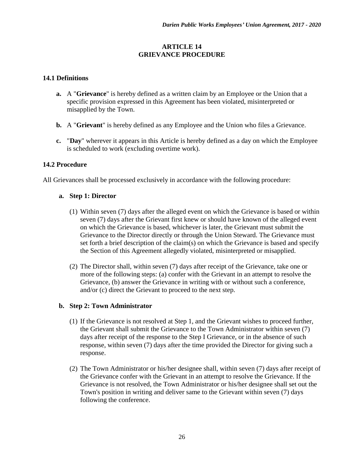# **ARTICLE 14 GRIEVANCE PROCEDURE**

# <span id="page-30-1"></span><span id="page-30-0"></span>**14.1 Definitions**

- **a.** A "**Grievance**" is hereby defined as a written claim by an Employee or the Union that a specific provision expressed in this Agreement has been violated, misinterpreted or misapplied by the Town.
- **b.** A "**Grievant**" is hereby defined as any Employee and the Union who files a Grievance.
- **c.** "**Day**" wherever it appears in this Article is hereby defined as a day on which the Employee is scheduled to work (excluding overtime work).

# <span id="page-30-2"></span>**14.2 Procedure**

All Grievances shall be processed exclusively in accordance with the following procedure:

### **a. Step 1: Director**

- (1) Within seven (7) days after the alleged event on which the Grievance is based or within seven (7) days after the Grievant first knew or should have known of the alleged event on which the Grievance is based, whichever is later, the Grievant must submit the Grievance to the Director directly or through the Union Steward. The Grievance must set forth a brief description of the claim(s) on which the Grievance is based and specify the Section of this Agreement allegedly violated, misinterpreted or misapplied.
- (2) The Director shall, within seven (7) days after receipt of the Grievance, take one or more of the following steps: (a) confer with the Grievant in an attempt to resolve the Grievance, (b) answer the Grievance in writing with or without such a conference, and/or (c) direct the Grievant to proceed to the next step.

### **b. Step 2: Town Administrator**

- (1) If the Grievance is not resolved at Step 1, and the Grievant wishes to proceed further, the Grievant shall submit the Grievance to the Town Administrator within seven (7) days after receipt of the response to the Step I Grievance, or in the absence of such response, within seven (7) days after the time provided the Director for giving such a response.
- (2) The Town Administrator or his/her designee shall, within seven (7) days after receipt of the Grievance confer with the Grievant in an attempt to resolve the Grievance. If the Grievance is not resolved, the Town Administrator or his/her designee shall set out the Town's position in writing and deliver same to the Grievant within seven (7) days following the conference.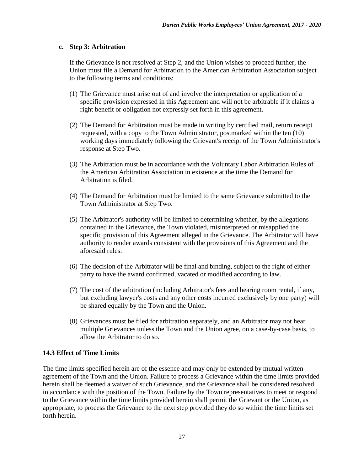# **c. Step 3: Arbitration**

If the Grievance is not resolved at Step 2, and the Union wishes to proceed further, the Union must file a Demand for Arbitration to the American Arbitration Association subject to the following terms and conditions:

- (1) The Grievance must arise out of and involve the interpretation or application of a specific provision expressed in this Agreement and will not be arbitrable if it claims a right benefit or obligation not expressly set forth in this agreement.
- (2) The Demand for Arbitration must be made in writing by certified mail, return receipt requested, with a copy to the Town Administrator, postmarked within the ten (10) working days immediately following the Grievant's receipt of the Town Administrator's response at Step Two.
- (3) The Arbitration must be in accordance with the Voluntary Labor Arbitration Rules of the American Arbitration Association in existence at the time the Demand for Arbitration is filed.
- (4) The Demand for Arbitration must be limited to the same Grievance submitted to the Town Administrator at Step Two.
- (5) The Arbitrator's authority will be limited to determining whether, by the allegations contained in the Grievance, the Town violated, misinterpreted or misapplied the specific provision of this Agreement alleged in the Grievance. The Arbitrator will have authority to render awards consistent with the provisions of this Agreement and the aforesaid rules.
- (6) The decision of the Arbitrator will be final and binding, subject to the right of either party to have the award confirmed, vacated or modified according to law.
- (7) The cost of the arbitration (including Arbitrator's fees and hearing room rental, if any, but excluding lawyer's costs and any other costs incurred exclusively by one party) will be shared equally by the Town and the Union.
- (8) Grievances must be filed for arbitration separately, and an Arbitrator may not hear multiple Grievances unless the Town and the Union agree, on a case-by-case basis, to allow the Arbitrator to do so.

### <span id="page-31-0"></span>**14.3 Effect of Time Limits**

The time limits specified herein are of the essence and may only be extended by mutual written agreement of the Town and the Union. Failure to process a Grievance within the time limits provided herein shall be deemed a waiver of such Grievance, and the Grievance shall be considered resolved in accordance with the position of the Town. Failure by the Town representatives to meet or respond to the Grievance within the time limits provided herein shall permit the Grievant or the Union, as appropriate, to process the Grievance to the next step provided they do so within the time limits set forth herein.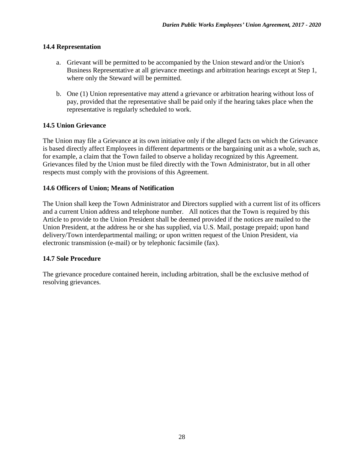#### <span id="page-32-0"></span>**14.4 Representation**

- a. Grievant will be permitted to be accompanied by the Union steward and/or the Union's Business Representative at all grievance meetings and arbitration hearings except at Step 1, where only the Steward will be permitted.
- b. One (1) Union representative may attend a grievance or arbitration hearing without loss of pay, provided that the representative shall be paid only if the hearing takes place when the representative is regularly scheduled to work.

### <span id="page-32-1"></span>**14.5 Union Grievance**

The Union may file a Grievance at its own initiative only if the alleged facts on which the Grievance is based directly affect Employees in different departments or the bargaining unit as a whole, such as, for example, a claim that the Town failed to observe a holiday recognized by this Agreement. Grievances filed by the Union must be filed directly with the Town Administrator, but in all other respects must comply with the provisions of this Agreement.

### <span id="page-32-2"></span>**14.6 Officers of Union; Means of Notification**

The Union shall keep the Town Administrator and Directors supplied with a current list of its officers and a current Union address and telephone number. All notices that the Town is required by this Article to provide to the Union President shall be deemed provided if the notices are mailed to the Union President, at the address he or she has supplied, via U.S. Mail, postage prepaid; upon hand delivery/Town interdepartmental mailing; or upon written request of the Union President, via electronic transmission (e-mail) or by telephonic facsimile (fax).

### <span id="page-32-3"></span>**14.7 Sole Procedure**

The grievance procedure contained herein, including arbitration, shall be the exclusive method of resolving grievances.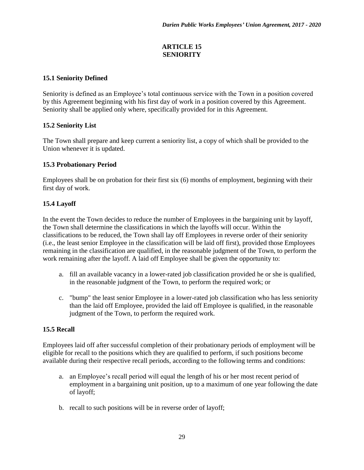# **ARTICLE 15 SENIORITY**

# <span id="page-33-1"></span><span id="page-33-0"></span>**15.1 Seniority Defined**

Seniority is defined as an Employee's total continuous service with the Town in a position covered by this Agreement beginning with his first day of work in a position covered by this Agreement. Seniority shall be applied only where, specifically provided for in this Agreement.

# <span id="page-33-2"></span>**15.2 Seniority List**

The Town shall prepare and keep current a seniority list, a copy of which shall be provided to the Union whenever it is updated.

# <span id="page-33-3"></span>**15.3 Probationary Period**

Employees shall be on probation for their first six (6) months of employment, beginning with their first day of work.

# <span id="page-33-4"></span>**15.4 Layoff**

In the event the Town decides to reduce the number of Employees in the bargaining unit by layoff, the Town shall determine the classifications in which the layoffs will occur. Within the classifications to be reduced, the Town shall lay off Employees in reverse order of their seniority (i.e., the least senior Employee in the classification will be laid off first), provided those Employees remaining in the classification are qualified, in the reasonable judgment of the Town, to perform the work remaining after the layoff. A laid off Employee shall be given the opportunity to:

- a. fill an available vacancy in a lower-rated job classification provided he or she is qualified, in the reasonable judgment of the Town, to perform the required work; or
- c. "bump" the least senior Employee in a lower-rated job classification who has less seniority than the laid off Employee, provided the laid off Employee is qualified, in the reasonable judgment of the Town, to perform the required work.

# <span id="page-33-5"></span>**15.5 Recall**

Employees laid off after successful completion of their probationary periods of employment will be eligible for recall to the positions which they are qualified to perform, if such positions become available during their respective recall periods, according to the following terms and conditions:

- a. an Employee's recall period will equal the length of his or her most recent period of employment in a bargaining unit position, up to a maximum of one year following the date of layoff;
- b. recall to such positions will be in reverse order of layoff;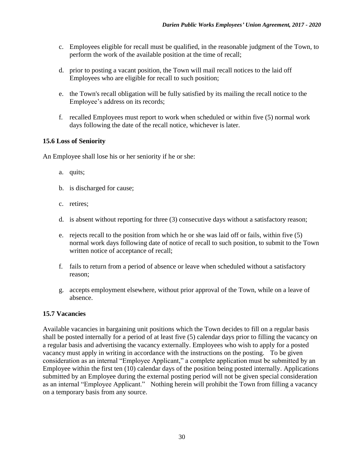- c. Employees eligible for recall must be qualified, in the reasonable judgment of the Town, to perform the work of the available position at the time of recall;
- d. prior to posting a vacant position, the Town will mail recall notices to the laid off Employees who are eligible for recall to such position;
- e. the Town's recall obligation will be fully satisfied by its mailing the recall notice to the Employee's address on its records;
- f. recalled Employees must report to work when scheduled or within five (5) normal work days following the date of the recall notice, whichever is later.

# <span id="page-34-0"></span>**15.6 Loss of Seniority**

An Employee shall lose his or her seniority if he or she:

- a. quits;
- b. is discharged for cause;
- c. retires;
- d. is absent without reporting for three (3) consecutive days without a satisfactory reason;
- e. rejects recall to the position from which he or she was laid off or fails, within five (5) normal work days following date of notice of recall to such position, to submit to the Town written notice of acceptance of recall;
- f. fails to return from a period of absence or leave when scheduled without a satisfactory reason;
- g. accepts employment elsewhere, without prior approval of the Town, while on a leave of absence.

### <span id="page-34-1"></span>**15.7 Vacancies**

<span id="page-34-2"></span>Available vacancies in bargaining unit positions which the Town decides to fill on a regular basis shall be posted internally for a period of at least five (5) calendar days prior to filling the vacancy on a regular basis and advertising the vacancy externally. Employees who wish to apply for a posted vacancy must apply in writing in accordance with the instructions on the posting. To be given consideration as an internal "Employee Applicant," a complete application must be submitted by an Employee within the first ten (10) calendar days of the position being posted internally. Applications submitted by an Employee during the external posting period will not be given special consideration as an internal "Employee Applicant." Nothing herein will prohibit the Town from filling a vacancy on a temporary basis from any source.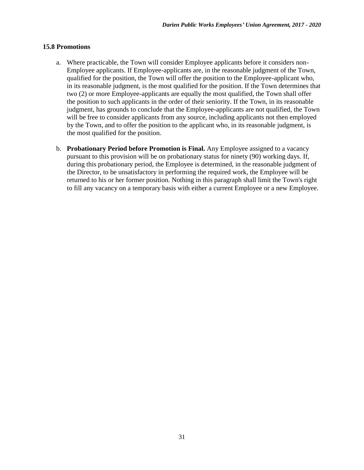#### **15.8 Promotions**

- a. Where practicable, the Town will consider Employee applicants before it considers non-Employee applicants. If Employee-applicants are, in the reasonable judgment of the Town, qualified for the position, the Town will offer the position to the Employee-applicant who, in its reasonable judgment, is the most qualified for the position. If the Town determines that two (2) or more Employee-applicants are equally the most qualified, the Town shall offer the position to such applicants in the order of their seniority. If the Town, in its reasonable judgment, has grounds to conclude that the Employee-applicants are not qualified, the Town will be free to consider applicants from any source, including applicants not then employed by the Town, and to offer the position to the applicant who, in its reasonable judgment, is the most qualified for the position.
- b. **Probationary Period before Promotion is Final.** Any Employee assigned to a vacancy pursuant to this provision will be on probationary status for ninety (90) working days. If, during this probationary period, the Employee is determined, in the reasonable judgment of the Director, to be unsatisfactory in performing the required work, the Employee will be returned to his or her former position. Nothing in this paragraph shall limit the Town's right to fill any vacancy on a temporary basis with either a current Employee or a new Employee.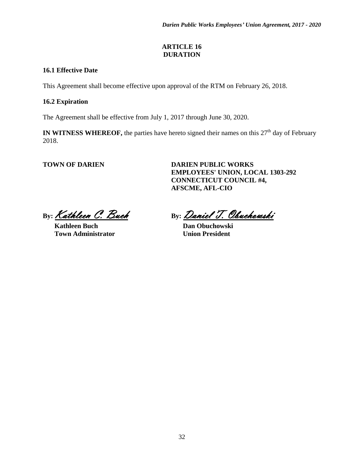# **ARTICLE 16 DURATION**

# <span id="page-36-1"></span><span id="page-36-0"></span>**16.1 Effective Date**

This Agreement shall become effective upon approval of the RTM on February 26, 2018.

# <span id="page-36-2"></span>**16.2 Expiration**

The Agreement shall be effective from July 1, 2017 through June 30, 2020.

**IN WITNESS WHEREOF,** the parties have hereto signed their names on this  $27<sup>th</sup>$  day of February 2018.

**TOWN OF DARIEN DARIEN PUBLIC WORKS EMPLOYEES' UNION, LOCAL 1303-292 CONNECTICUT COUNCIL #4, AFSCME, AFL-CIO** 

**Kathleen Buch Dan Obuchowski Town Administrator 1986** Union President

By: <u>Kathleen C. Buch</u> By: Daniel T. Obuchowski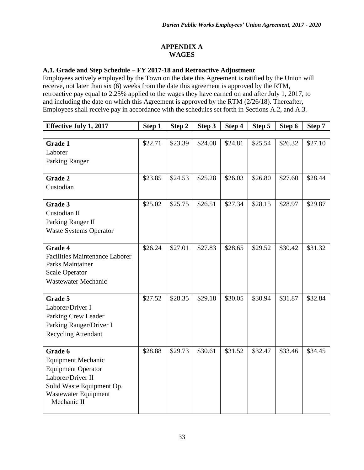# **APPENDIX A WAGES**

# <span id="page-37-1"></span><span id="page-37-0"></span>**A.1. Grade and Step Schedule – FY 2017-18 and Retroactive Adjustment**

Employees actively employed by the Town on the date this Agreement is ratified by the Union will receive, not later than six (6) weeks from the date this agreement is approved by the RTM, retroactive pay equal to 2.25% applied to the wages they have earned on and after July 1, 2017, to and including the date on which this Agreement is approved by the RTM (2/26/18). Thereafter, Employees shall receive pay in accordance with the schedules set forth in Sections A.2, and A.3.

| <b>Effective July 1, 2017</b>         | Step 1  | Step 2  | Step 3  | Step 4  | Step 5  | Step 6  | Step 7  |
|---------------------------------------|---------|---------|---------|---------|---------|---------|---------|
|                                       |         |         |         |         |         |         |         |
| Grade 1                               | \$22.71 | \$23.39 | \$24.08 | \$24.81 | \$25.54 | \$26.32 | \$27.10 |
| Laborer                               |         |         |         |         |         |         |         |
| Parking Ranger                        |         |         |         |         |         |         |         |
|                                       |         |         |         |         |         |         |         |
| <b>Grade 2</b>                        | \$23.85 | \$24.53 | \$25.28 | \$26.03 | \$26.80 | \$27.60 | \$28.44 |
| Custodian                             |         |         |         |         |         |         |         |
|                                       | \$25.02 |         |         |         |         |         |         |
| Grade 3                               |         | \$25.75 | \$26.51 | \$27.34 | \$28.15 | \$28.97 | \$29.87 |
| Custodian II                          |         |         |         |         |         |         |         |
| Parking Ranger II                     |         |         |         |         |         |         |         |
| <b>Waste Systems Operator</b>         |         |         |         |         |         |         |         |
| <b>Grade 4</b>                        | \$26.24 | \$27.01 | \$27.83 | \$28.65 | \$29.52 | \$30.42 | \$31.32 |
| <b>Facilities Maintenance Laborer</b> |         |         |         |         |         |         |         |
| Parks Maintainer                      |         |         |         |         |         |         |         |
| <b>Scale Operator</b>                 |         |         |         |         |         |         |         |
| Wastewater Mechanic                   |         |         |         |         |         |         |         |
|                                       |         |         |         |         |         |         |         |
| Grade 5                               | \$27.52 | \$28.35 | \$29.18 | \$30.05 | \$30.94 | \$31.87 | \$32.84 |
| Laborer/Driver I                      |         |         |         |         |         |         |         |
| Parking Crew Leader                   |         |         |         |         |         |         |         |
| Parking Ranger/Driver I               |         |         |         |         |         |         |         |
| <b>Recycling Attendant</b>            |         |         |         |         |         |         |         |
|                                       |         |         |         |         |         |         |         |
| Grade 6                               | \$28.88 | \$29.73 | \$30.61 | \$31.52 | \$32.47 | \$33.46 | \$34.45 |
| <b>Equipment Mechanic</b>             |         |         |         |         |         |         |         |
| <b>Equipment Operator</b>             |         |         |         |         |         |         |         |
| Laborer/Driver II                     |         |         |         |         |         |         |         |
| Solid Waste Equipment Op.             |         |         |         |         |         |         |         |
| Wastewater Equipment                  |         |         |         |         |         |         |         |
| Mechanic II                           |         |         |         |         |         |         |         |
|                                       |         |         |         |         |         |         |         |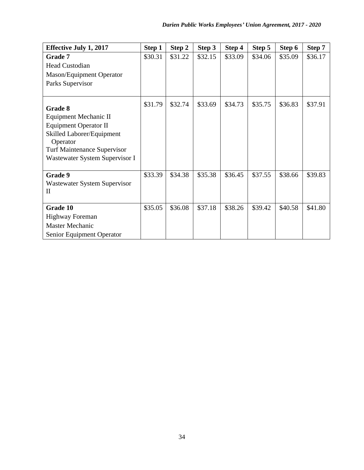<span id="page-38-0"></span>

| <b>Effective July 1, 2017</b>                    | Step 1  | Step 2  | Step 3  | Step 4  | Step 5  | Step 6  | Step 7  |
|--------------------------------------------------|---------|---------|---------|---------|---------|---------|---------|
| Grade 7                                          | \$30.31 | \$31.22 | \$32.15 | \$33.09 | \$34.06 | \$35.09 | \$36.17 |
| <b>Head Custodian</b>                            |         |         |         |         |         |         |         |
| <b>Mason/Equipment Operator</b>                  |         |         |         |         |         |         |         |
| Parks Supervisor                                 |         |         |         |         |         |         |         |
|                                                  |         |         |         |         |         |         |         |
|                                                  | \$31.79 | \$32.74 | \$33.69 | \$34.73 | \$35.75 | \$36.83 | \$37.91 |
| Grade 8<br>Equipment Mechanic II                 |         |         |         |         |         |         |         |
| <b>Equipment Operator II</b>                     |         |         |         |         |         |         |         |
| Skilled Laborer/Equipment                        |         |         |         |         |         |         |         |
| Operator                                         |         |         |         |         |         |         |         |
| <b>Turf Maintenance Supervisor</b>               |         |         |         |         |         |         |         |
| Wastewater System Supervisor I                   |         |         |         |         |         |         |         |
|                                                  |         |         |         |         |         |         |         |
| Grade 9                                          | \$33.39 | \$34.38 | \$35.38 | \$36.45 | \$37.55 | \$38.66 | \$39.83 |
| Wastewater System Supervisor                     |         |         |         |         |         |         |         |
| $_{\rm II}$                                      |         |         |         |         |         |         |         |
| Grade 10                                         | \$35.05 | \$36.08 | \$37.18 | \$38.26 | \$39.42 | \$40.58 | \$41.80 |
|                                                  |         |         |         |         |         |         |         |
| <b>Highway Foreman</b><br><b>Master Mechanic</b> |         |         |         |         |         |         |         |
|                                                  |         |         |         |         |         |         |         |
| Senior Equipment Operator                        |         |         |         |         |         |         |         |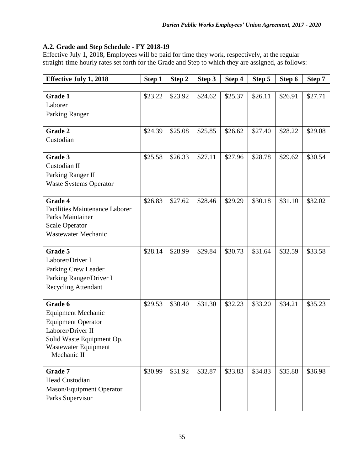# **A.2. Grade and Step Schedule - FY 2018-19**

Effective July 1, 2018, Employees will be paid for time they work, respectively, at the regular straight-time hourly rates set forth for the Grade and Step to which they are assigned, as follows:

| <b>Effective July 1, 2018</b>         | Step 1  | Step 2  | Step 3  | Step 4  | Step 5  | Step 6  | Step 7  |
|---------------------------------------|---------|---------|---------|---------|---------|---------|---------|
|                                       |         |         |         |         |         |         |         |
| Grade 1                               | \$23.22 | \$23.92 | \$24.62 | \$25.37 | \$26.11 | \$26.91 | \$27.71 |
| Laborer                               |         |         |         |         |         |         |         |
| Parking Ranger                        |         |         |         |         |         |         |         |
|                                       |         |         |         |         |         |         |         |
| <b>Grade 2</b>                        | \$24.39 | \$25.08 | \$25.85 | \$26.62 | \$27.40 | \$28.22 | \$29.08 |
| Custodian                             |         |         |         |         |         |         |         |
|                                       |         |         |         |         |         |         |         |
| Grade 3                               | \$25.58 | \$26.33 | \$27.11 | \$27.96 | \$28.78 | \$29.62 | \$30.54 |
| Custodian II                          |         |         |         |         |         |         |         |
| Parking Ranger II                     |         |         |         |         |         |         |         |
| <b>Waste Systems Operator</b>         |         |         |         |         |         |         |         |
| <b>Grade 4</b>                        | \$26.83 | \$27.62 | \$28.46 | \$29.29 | \$30.18 | \$31.10 | \$32.02 |
| <b>Facilities Maintenance Laborer</b> |         |         |         |         |         |         |         |
| Parks Maintainer                      |         |         |         |         |         |         |         |
| <b>Scale Operator</b>                 |         |         |         |         |         |         |         |
| Wastewater Mechanic                   |         |         |         |         |         |         |         |
|                                       |         |         |         |         |         |         |         |
| Grade 5                               | \$28.14 | \$28.99 | \$29.84 | \$30.73 | \$31.64 | \$32.59 | \$33.58 |
| Laborer/Driver I                      |         |         |         |         |         |         |         |
| Parking Crew Leader                   |         |         |         |         |         |         |         |
| Parking Ranger/Driver I               |         |         |         |         |         |         |         |
| <b>Recycling Attendant</b>            |         |         |         |         |         |         |         |
|                                       |         |         |         |         |         |         |         |
| Grade 6                               | \$29.53 | \$30.40 | \$31.30 | \$32.23 | \$33.20 | \$34.21 | \$35.23 |
| <b>Equipment Mechanic</b>             |         |         |         |         |         |         |         |
| <b>Equipment Operator</b>             |         |         |         |         |         |         |         |
| Laborer/Driver II                     |         |         |         |         |         |         |         |
| Solid Waste Equipment Op.             |         |         |         |         |         |         |         |
| Wastewater Equipment                  |         |         |         |         |         |         |         |
| Mechanic II                           |         |         |         |         |         |         |         |
| Grade 7                               | \$30.99 | \$31.92 | \$32.87 | \$33.83 | \$34.83 | \$35.88 | \$36.98 |
| <b>Head Custodian</b>                 |         |         |         |         |         |         |         |
| Mason/Equipment Operator              |         |         |         |         |         |         |         |
| Parks Supervisor                      |         |         |         |         |         |         |         |
|                                       |         |         |         |         |         |         |         |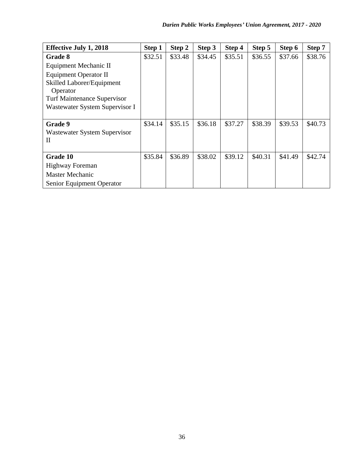<span id="page-40-0"></span>

| <b>Effective July 1, 2018</b>      | Step 1  | Step 2  | Step 3  | Step 4  | Step 5  | Step 6  | Step 7  |
|------------------------------------|---------|---------|---------|---------|---------|---------|---------|
| Grade 8                            | \$32.51 | \$33.48 | \$34.45 | \$35.51 | \$36.55 | \$37.66 | \$38.76 |
| Equipment Mechanic II              |         |         |         |         |         |         |         |
| <b>Equipment Operator II</b>       |         |         |         |         |         |         |         |
| Skilled Laborer/Equipment          |         |         |         |         |         |         |         |
| Operator                           |         |         |         |         |         |         |         |
| <b>Turf Maintenance Supervisor</b> |         |         |         |         |         |         |         |
| Wastewater System Supervisor I     |         |         |         |         |         |         |         |
|                                    |         |         |         |         |         |         |         |
| Grade 9                            | \$34.14 | \$35.15 | \$36.18 | \$37.27 | \$38.39 | \$39.53 | \$40.73 |
| Wastewater System Supervisor       |         |         |         |         |         |         |         |
| Н                                  |         |         |         |         |         |         |         |
|                                    |         |         |         |         |         |         |         |
| Grade 10                           | \$35.84 | \$36.89 | \$38.02 | \$39.12 | \$40.31 | \$41.49 | \$42.74 |
| <b>Highway Foreman</b>             |         |         |         |         |         |         |         |
| <b>Master Mechanic</b>             |         |         |         |         |         |         |         |
| Senior Equipment Operator          |         |         |         |         |         |         |         |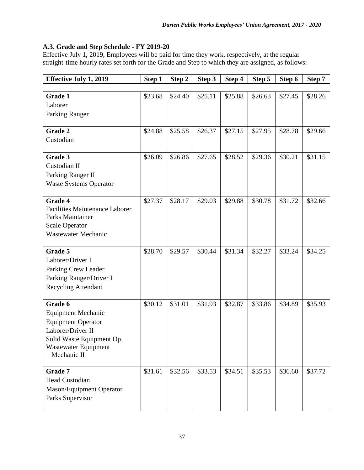# **A.3. Grade and Step Schedule - FY 2019-20**

Effective July 1, 2019, Employees will be paid for time they work, respectively, at the regular straight-time hourly rates set forth for the Grade and Step to which they are assigned, as follows:

| <b>Effective July 1, 2019</b>                             | Step 1  | Step 2  | Step 3  | Step 4  | Step 5  | Step 6  | Step 7  |
|-----------------------------------------------------------|---------|---------|---------|---------|---------|---------|---------|
|                                                           |         |         |         |         |         |         |         |
| Grade 1                                                   | \$23.68 | \$24.40 | \$25.11 | \$25.88 | \$26.63 | \$27.45 | \$28.26 |
| Laborer                                                   |         |         |         |         |         |         |         |
| Parking Ranger                                            |         |         |         |         |         |         |         |
|                                                           |         |         |         |         |         |         |         |
| <b>Grade 2</b>                                            | \$24.88 | \$25.58 | \$26.37 | \$27.15 | \$27.95 | \$28.78 | \$29.66 |
| Custodian                                                 |         |         |         |         |         |         |         |
|                                                           |         |         |         |         |         |         |         |
| Grade 3                                                   | \$26.09 | \$26.86 | \$27.65 | \$28.52 | \$29.36 | \$30.21 | \$31.15 |
| Custodian II                                              |         |         |         |         |         |         |         |
| Parking Ranger II                                         |         |         |         |         |         |         |         |
| <b>Waste Systems Operator</b>                             |         |         |         |         |         |         |         |
|                                                           |         |         |         |         |         |         |         |
| <b>Grade 4</b>                                            | \$27.37 | \$28.17 | \$29.03 | \$29.88 | \$30.78 | \$31.72 | \$32.66 |
| <b>Facilities Maintenance Laborer</b><br>Parks Maintainer |         |         |         |         |         |         |         |
| <b>Scale Operator</b>                                     |         |         |         |         |         |         |         |
| <b>Wastewater Mechanic</b>                                |         |         |         |         |         |         |         |
|                                                           |         |         |         |         |         |         |         |
| Grade 5                                                   | \$28.70 | \$29.57 | \$30.44 | \$31.34 | \$32.27 | \$33.24 | \$34.25 |
| Laborer/Driver I                                          |         |         |         |         |         |         |         |
| Parking Crew Leader                                       |         |         |         |         |         |         |         |
| Parking Ranger/Driver I                                   |         |         |         |         |         |         |         |
| <b>Recycling Attendant</b>                                |         |         |         |         |         |         |         |
|                                                           |         |         |         |         |         |         |         |
| Grade 6                                                   | \$30.12 | \$31.01 | \$31.93 | \$32.87 | \$33.86 | \$34.89 | \$35.93 |
| <b>Equipment Mechanic</b>                                 |         |         |         |         |         |         |         |
| <b>Equipment Operator</b>                                 |         |         |         |         |         |         |         |
| Laborer/Driver II                                         |         |         |         |         |         |         |         |
| Solid Waste Equipment Op.                                 |         |         |         |         |         |         |         |
| Wastewater Equipment                                      |         |         |         |         |         |         |         |
| Mechanic II                                               |         |         |         |         |         |         |         |
| Grade 7                                                   | \$31.61 | \$32.56 | \$33.53 | \$34.51 | \$35.53 | \$36.60 | \$37.72 |
| Head Custodian                                            |         |         |         |         |         |         |         |
| Mason/Equipment Operator                                  |         |         |         |         |         |         |         |
| Parks Supervisor                                          |         |         |         |         |         |         |         |
|                                                           |         |         |         |         |         |         |         |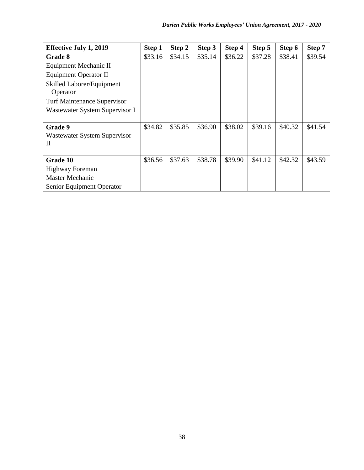| <b>Effective July 1, 2019</b>         | Step 1  | Step 2  | Step 3  | Step 4  | Step 5  | Step 6  | Step 7  |
|---------------------------------------|---------|---------|---------|---------|---------|---------|---------|
| Grade 8                               | \$33.16 | \$34.15 | \$35.14 | \$36.22 | \$37.28 | \$38.41 | \$39.54 |
| Equipment Mechanic II                 |         |         |         |         |         |         |         |
| <b>Equipment Operator II</b>          |         |         |         |         |         |         |         |
| Skilled Laborer/Equipment<br>Operator |         |         |         |         |         |         |         |
| <b>Turf Maintenance Supervisor</b>    |         |         |         |         |         |         |         |
| Wastewater System Supervisor I        |         |         |         |         |         |         |         |
|                                       |         |         |         |         |         |         |         |
| Grade 9                               | \$34.82 | \$35.85 | \$36.90 | \$38.02 | \$39.16 | \$40.32 | \$41.54 |
| Wastewater System Supervisor          |         |         |         |         |         |         |         |
| Н                                     |         |         |         |         |         |         |         |
|                                       |         |         |         |         |         |         |         |
| Grade 10                              | \$36.56 | \$37.63 | \$38.78 | \$39.90 | \$41.12 | \$42.32 | \$43.59 |
| <b>Highway Foreman</b>                |         |         |         |         |         |         |         |
| <b>Master Mechanic</b>                |         |         |         |         |         |         |         |
| Senior Equipment Operator             |         |         |         |         |         |         |         |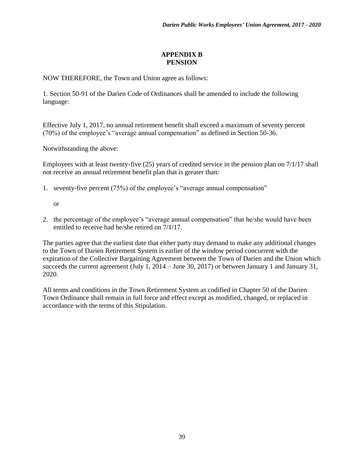## **APPENDIX B PENSION**

<span id="page-43-0"></span>NOW THEREFORE, the Town and Union agree as follows:

1. Section 50-91 of the Darien Code of Ordinances shall be amended to include the following language:

Effective July 1, 2017, no annual retirement benefit shall exceed a maximum of seventy percent (70%) of the employee's "average annual compensation" as defined in Section 50-36.

Notwithstanding the above:

Employees with at least twenty-five (25) years of credited service in the pension plan on 7/1/17 shall not receive an annual retirement benefit plan that is greater than:

- 1. seventy-five percent (75%) of the employee's "average annual compensation"
	- or
- 2. the percentage of the employee's "average annual compensation" that he/she would have been entitled to receive had he/she retired on 7/1/17.

The parties agree that the earliest date that either party may demand to make any additional changes to the Town of Darien Retirement System is earlier of the window period concurrent with the expiration of the Collective Bargaining Agreement between the Town of Darien and the Union which succeeds the current agreement (July 1, 2014 – June 30, 2017) or between January 1 and January 31, 2020.

All terms and conditions in the Town Retirement System as codified in Chapter 50 of the Darien Town Ordinance shall remain in full force and effect except as modified, changed, or replaced in accordance with the terms of this Stipulation.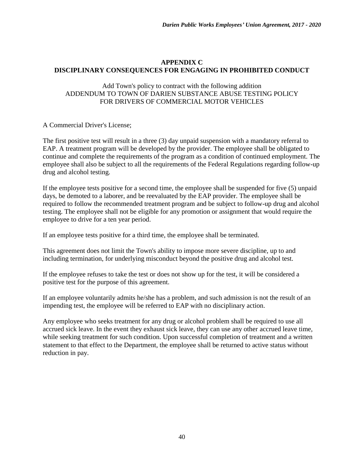# <span id="page-44-0"></span>**APPENDIX C DISCIPLINARY CONSEQUENCES FOR ENGAGING IN PROHIBITED CONDUCT**

### Add Town's policy to contract with the following addition ADDENDUM TO TOWN OF DARIEN SUBSTANCE ABUSE TESTING POLICY FOR DRIVERS OF COMMERCIAL MOTOR VEHICLES

### A Commercial Driver's License;

The first positive test will result in a three (3) day unpaid suspension with a mandatory referral to EAP. A treatment program will be developed by the provider. The employee shall be obligated to continue and complete the requirements of the program as a condition of continued employment. The employee shall also be subject to all the requirements of the Federal Regulations regarding follow-up drug and alcohol testing.

If the employee tests positive for a second time, the employee shall be suspended for five (5) unpaid days, be demoted to a laborer, and be reevaluated by the EAP provider. The employee shall be required to follow the recommended treatment program and be subject to follow-up drug and alcohol testing. The employee shall not be eligible for any promotion or assignment that would require the employee to drive for a ten year period.

If an employee tests positive for a third time, the employee shall be terminated.

This agreement does not limit the Town's ability to impose more severe discipline, up to and including termination, for underlying misconduct beyond the positive drug and alcohol test.

If the employee refuses to take the test or does not show up for the test, it will be considered a positive test for the purpose of this agreement.

If an employee voluntarily admits he/she has a problem, and such admission is not the result of an impending test, the employee will be referred to EAP with no disciplinary action.

Any employee who seeks treatment for any drug or alcohol problem shall be required to use all accrued sick leave. In the event they exhaust sick leave, they can use any other accrued leave time, while seeking treatment for such condition. Upon successful completion of treatment and a written statement to that effect to the Department, the employee shall be returned to active status without reduction in pay.